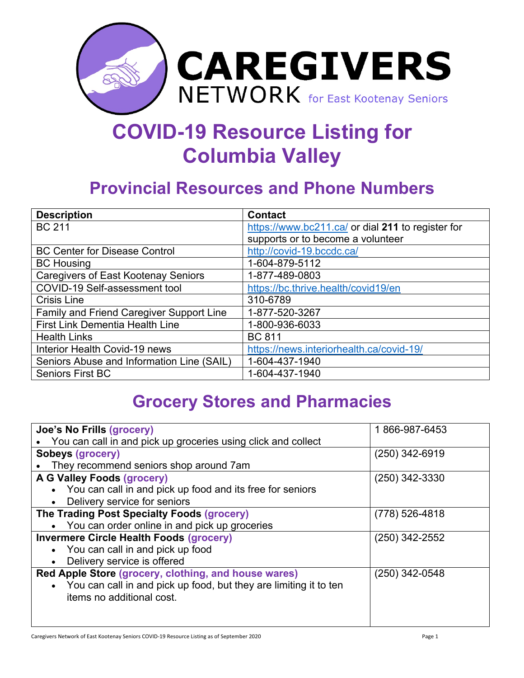

## **COVID-19 Resource Listing for Columbia Valley**

## **Provincial Resources and Phone Numbers**

| <b>Description</b>                         | <b>Contact</b>                                    |
|--------------------------------------------|---------------------------------------------------|
| <b>BC 211</b>                              | https://www.bc211.ca/ or dial 211 to register for |
|                                            | supports or to become a volunteer                 |
| <b>BC Center for Disease Control</b>       | http://covid-19.bccdc.ca/                         |
| <b>BC Housing</b>                          | 1-604-879-5112                                    |
| <b>Caregivers of East Kootenay Seniors</b> | 1-877-489-0803                                    |
| COVID-19 Self-assessment tool              | https://bc.thrive.health/covid19/en               |
| <b>Crisis Line</b>                         | 310-6789                                          |
| Family and Friend Caregiver Support Line   | 1-877-520-3267                                    |
| First Link Dementia Health Line            | 1-800-936-6033                                    |
| <b>Health Links</b>                        | <b>BC 811</b>                                     |
| Interior Health Covid-19 news              | https://news.interiorhealth.ca/covid-19/          |
| Seniors Abuse and Information Line (SAIL)  | 1-604-437-1940                                    |
| <b>Seniors First BC</b>                    | 1-604-437-1940                                    |

## **Grocery Stores and Pharmacies**

| Joe's No Frills (grocery)                                                                        | 1866-987-6453    |
|--------------------------------------------------------------------------------------------------|------------------|
| You can call in and pick up groceries using click and collect                                    |                  |
| Sobeys (grocery)                                                                                 | $(250)$ 342-6919 |
| They recommend seniors shop around 7am                                                           |                  |
| A G Valley Foods (grocery)                                                                       | $(250)$ 342-3330 |
| • You can call in and pick up food and its free for seniors                                      |                  |
| • Delivery service for seniors                                                                   |                  |
| The Trading Post Specialty Foods (grocery)                                                       | $(778)$ 526-4818 |
| • You can order online in and pick up groceries                                                  |                  |
| <b>Invermere Circle Health Foods (grocery)</b>                                                   | $(250)$ 342-2552 |
| • You can call in and pick up food                                                               |                  |
| Delivery service is offered                                                                      |                  |
| Red Apple Store (grocery, clothing, and house wares)                                             | (250) 342-0548   |
| • You can call in and pick up food, but they are limiting it to ten<br>items no additional cost. |                  |
|                                                                                                  |                  |